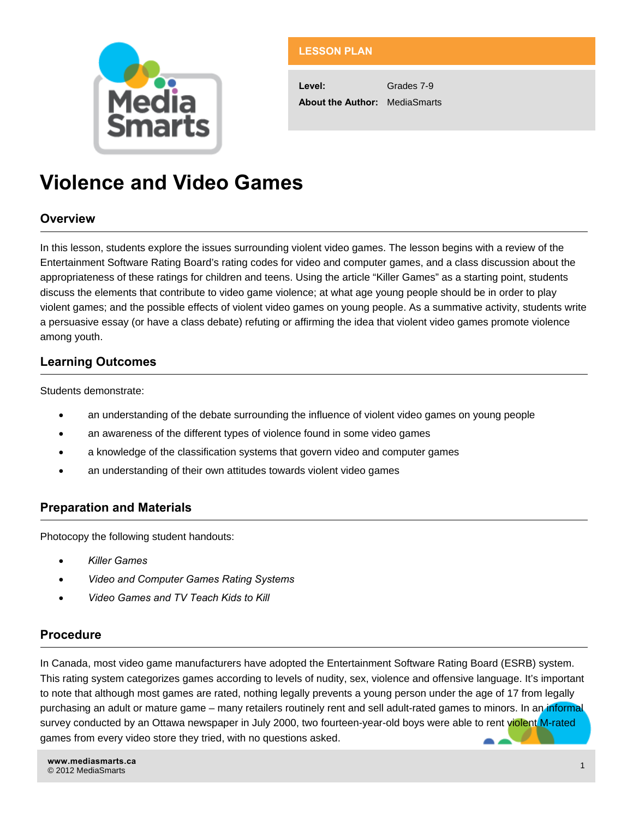

## **LESSON PLAN**

**Level:** Grades 7-9 **About the Author:** MediaSmarts

# **Violence and Video Games**

# **Overview**

In this lesson, students explore the issues surrounding violent video games. The lesson begins with a review of the Entertainment Software Rating Board's rating codes for video and computer games, and a class discussion about the appropriateness of these ratings for children and teens. Using the article "Killer Games" as a starting point, students discuss the elements that contribute to video game violence; at what age young people should be in order to play violent games; and the possible effects of violent video games on young people. As a summative activity, students write a persuasive essay (or have a class debate) refuting or affirming the idea that violent video games promote violence among youth.

# **Learning Outcomes**

Students demonstrate:

- an understanding of the debate surrounding the influence of violent video games on young people
- an awareness of the different types of violence found in some video games
- a knowledge of the classification systems that govern video and computer games
- an understanding of their own attitudes towards violent video games

# **Preparation and Materials**

Photocopy the following student handouts:

- *Killer Games*
- *Video and Computer Games Rating Systems*
- *Video Games and TV Teach Kids to Kill*

## **Procedure**

In Canada, most video game manufacturers have adopted the Entertainment Software Rating Board (ESRB) system. This rating system categorizes games according to levels of nudity, sex, violence and offensive language. It's important to note that although most games are rated, nothing legally prevents a young person under the age of 17 from legally purchasing an adult or mature game – many retailers routinely rent and sell adult-rated games to minors. In an informal survey conducted by an Ottawa newspaper in July 2000, two fourteen-year-old boys were able to rent violent M-rated games from every video store they tried, with no questions asked.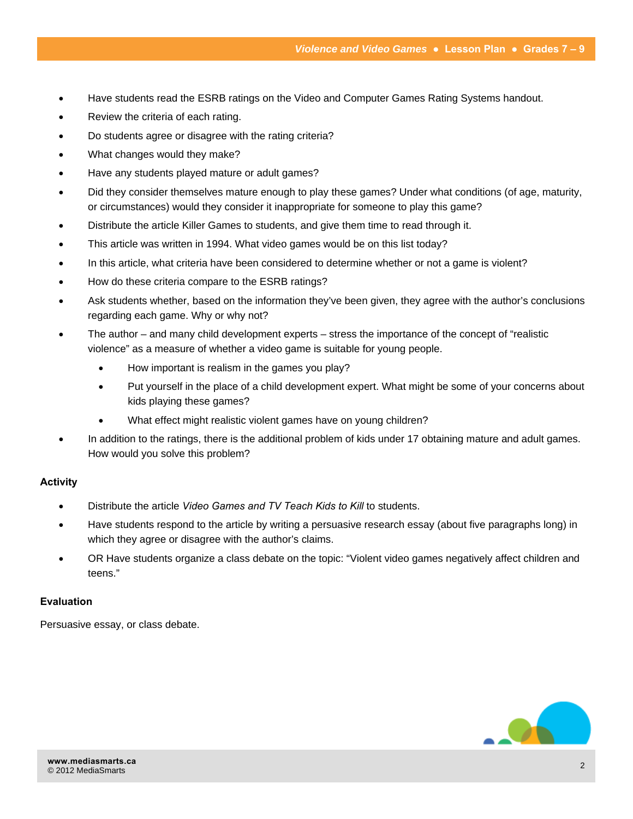- Have students read the ESRB ratings on the Video and Computer Games Rating Systems handout.
- Review the criteria of each rating.
- Do students agree or disagree with the rating criteria?
- What changes would they make?
- Have any students played mature or adult games?
- Did they consider themselves mature enough to play these games? Under what conditions (of age, maturity, or circumstances) would they consider it inappropriate for someone to play this game?
- Distribute the article Killer Games to students, and give them time to read through it.
- This article was written in 1994. What video games would be on this list today?
- In this article, what criteria have been considered to determine whether or not a game is violent?
- How do these criteria compare to the ESRB ratings?
- Ask students whether, based on the information they've been given, they agree with the author's conclusions regarding each game. Why or why not?
- The author and many child development experts stress the importance of the concept of "realistic violence" as a measure of whether a video game is suitable for young people.
	- How important is realism in the games you play?
	- Put yourself in the place of a child development expert. What might be some of your concerns about kids playing these games?
	- What effect might realistic violent games have on young children?
- In addition to the ratings, there is the additional problem of kids under 17 obtaining mature and adult games. How would you solve this problem?

#### **Activity**

- Distribute the article *Video Games and TV Teach Kids to Kill* to students.
- Have students respond to the article by writing a persuasive research essay (about five paragraphs long) in which they agree or disagree with the author's claims.
- OR Have students organize a class debate on the topic: "Violent video games negatively affect children and teens."

#### **Evaluation**

Persuasive essay, or class debate.

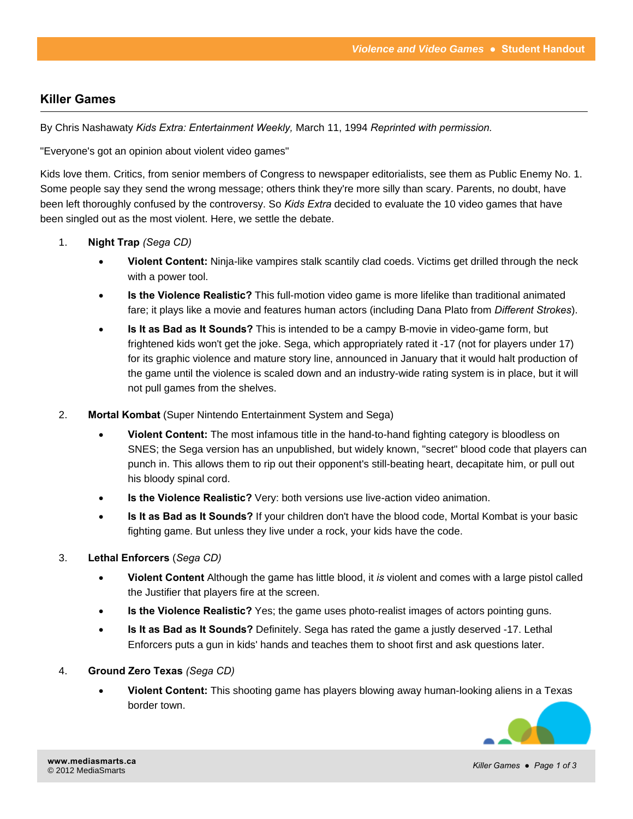# **Killer Games**

By Chris Nashawaty *Kids Extra: Entertainment Weekly,* March 11, 1994 *Reprinted with permission.* 

"Everyone's got an opinion about violent video games"

Kids love them. Critics, from senior members of Congress to newspaper editorialists, see them as Public Enemy No. 1. Some people say they send the wrong message; others think they're more silly than scary. Parents, no doubt, have been left thoroughly confused by the controversy. So *Kids Extra* decided to evaluate the 10 video games that have been singled out as the most violent. Here, we settle the debate.

- 1. **Night Trap** *(Sega CD)* 
	- **Violent Content:** Ninja-like vampires stalk scantily clad coeds. Victims get drilled through the neck with a power tool.
	- **Is the Violence Realistic?** This full-motion video game is more lifelike than traditional animated fare; it plays like a movie and features human actors (including Dana Plato from *Different Strokes*).
	- **Is It as Bad as It Sounds?** This is intended to be a campy B-movie in video-game form, but frightened kids won't get the joke. Sega, which appropriately rated it -17 (not for players under 17) for its graphic violence and mature story line, announced in January that it would halt production of the game until the violence is scaled down and an industry-wide rating system is in place, but it will not pull games from the shelves.
- 2. **Mortal Kombat** (Super Nintendo Entertainment System and Sega)
	- **Violent Content:** The most infamous title in the hand-to-hand fighting category is bloodless on SNES; the Sega version has an unpublished, but widely known, "secret" blood code that players can punch in. This allows them to rip out their opponent's still-beating heart, decapitate him, or pull out his bloody spinal cord.
	- **Is the Violence Realistic?** Very: both versions use live-action video animation.
	- **Is It as Bad as It Sounds?** If your children don't have the blood code, Mortal Kombat is your basic fighting game. But unless they live under a rock, your kids have the code.
- 3. **Lethal Enforcers** (*Sega CD)* 
	- **Violent Content** Although the game has little blood, it *is* violent and comes with a large pistol called the Justifier that players fire at the screen.
	- **Is the Violence Realistic?** Yes; the game uses photo-realist images of actors pointing guns.
	- **Is It as Bad as It Sounds?** Definitely. Sega has rated the game a justly deserved -17. Lethal Enforcers puts a gun in kids' hands and teaches them to shoot first and ask questions later.
- 4. **Ground Zero Texas** *(Sega CD)* 
	- **Violent Content:** This shooting game has players blowing away human-looking aliens in a Texas border town.

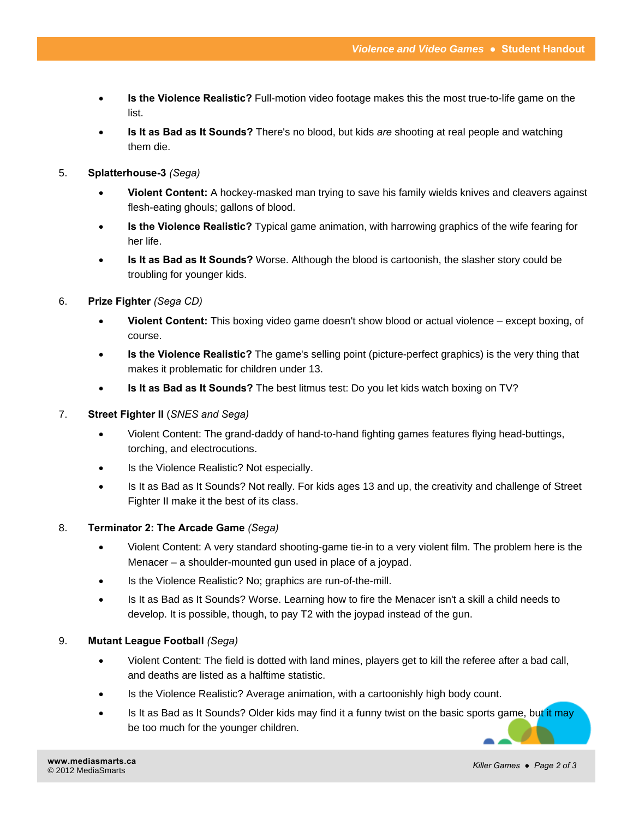- **Is the Violence Realistic?** Full-motion video footage makes this the most true-to-life game on the list.
- **Is It as Bad as It Sounds?** There's no blood, but kids *are* shooting at real people and watching them die.

#### 5. **Splatterhouse-3** *(Sega)*

- **Violent Content:** A hockey-masked man trying to save his family wields knives and cleavers against flesh-eating ghouls; gallons of blood.
- **Is the Violence Realistic?** Typical game animation, with harrowing graphics of the wife fearing for her life.
- **Is It as Bad as It Sounds?** Worse. Although the blood is cartoonish, the slasher story could be troubling for younger kids.

#### 6. **Prize Fighter** *(Sega CD)*

- **Violent Content:** This boxing video game doesn't show blood or actual violence except boxing, of course.
- **Is the Violence Realistic?** The game's selling point (picture-perfect graphics) is the very thing that makes it problematic for children under 13.
- **Is It as Bad as It Sounds?** The best litmus test: Do you let kids watch boxing on TV?

#### 7. **Street Fighter II** (*SNES and Sega)*

- Violent Content: The grand-daddy of hand-to-hand fighting games features flying head-buttings, torching, and electrocutions.
- Is the Violence Realistic? Not especially.
- Is It as Bad as It Sounds? Not really. For kids ages 13 and up, the creativity and challenge of Street Fighter II make it the best of its class.

#### 8. **Terminator 2: The Arcade Game** *(Sega)*

- Violent Content: A very standard shooting-game tie-in to a very violent film. The problem here is the Menacer – a shoulder-mounted gun used in place of a joypad.
- Is the Violence Realistic? No; graphics are run-of-the-mill.
- Is It as Bad as It Sounds? Worse. Learning how to fire the Menacer isn't a skill a child needs to develop. It is possible, though, to pay T2 with the joypad instead of the gun.

#### 9. **Mutant League Football** *(Sega)*

- Violent Content: The field is dotted with land mines, players get to kill the referee after a bad call, and deaths are listed as a halftime statistic.
- Is the Violence Realistic? Average animation, with a cartoonishly high body count.
- Is It as Bad as It Sounds? Older kids may find it a funny twist on the basic sports game, but it may be too much for the younger children.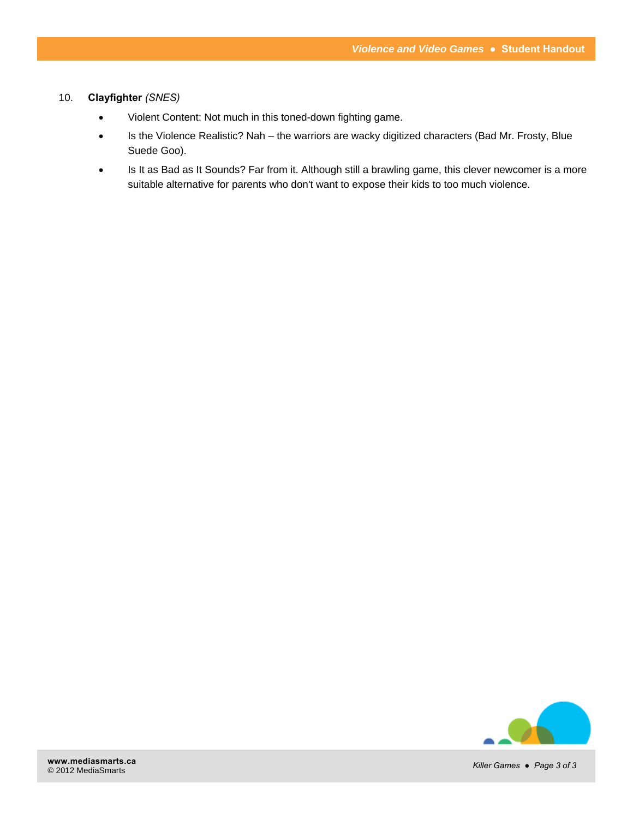#### 10. **Clayfighter** *(SNES)*

- Violent Content: Not much in this toned-down fighting game.
- Is the Violence Realistic? Nah the warriors are wacky digitized characters (Bad Mr. Frosty, Blue Suede Goo).
- Is It as Bad as It Sounds? Far from it. Although still a brawling game, this clever newcomer is a more suitable alternative for parents who don't want to expose their kids to too much violence.

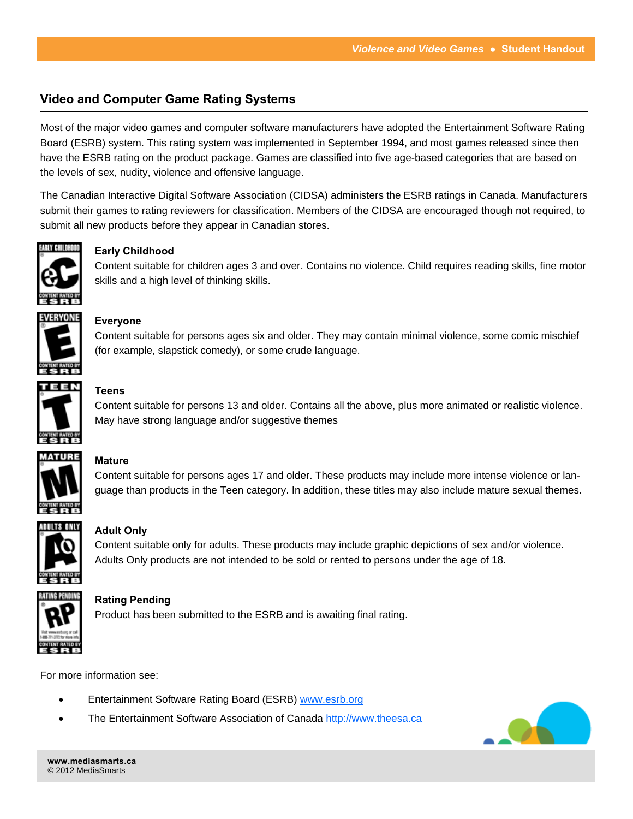# **Video and Computer Game Rating Systems**

Most of the major video games and computer software manufacturers have adopted the Entertainment Software Rating Board (ESRB) system. This rating system was implemented in September 1994, and most games released since then have the ESRB rating on the product package. Games are classified into five age-based categories that are based on the levels of sex, nudity, violence and offensive language.

The Canadian Interactive Digital Software Association (CIDSA) administers the ESRB ratings in Canada. Manufacturers submit their games to rating reviewers for classification. Members of the CIDSA are encouraged though not required, to submit all new products before they appear in Canadian stores.



## **Early Childhood**

Content suitable for children ages 3 and over. Contains no violence. Child requires reading skills, fine motor skills and a high level of thinking skills.



## **Everyone**

Content suitable for persons ages six and older. They may contain minimal violence, some comic mischief (for example, slapstick comedy), or some crude language.



## **Teens**

Content suitable for persons 13 and older. Contains all the above, plus more animated or realistic violence. May have strong language and/or suggestive themes



## **Mature**

Content suitable for persons ages 17 and older. These products may include more intense violence or language than products in the Teen category. In addition, these titles may also include mature sexual themes.



## **Adult Only**

Content suitable only for adults. These products may include graphic depictions of sex and/or violence. Adults Only products are not intended to be sold or rented to persons under the age of 18.



#### **Rating Pending**

Product has been submitted to the ESRB and is awaiting final rating.

For more information see:

- Entertainment Software Rating Board (ESRB) [www.esrb.org](http://www.esrb.org)
- The Entertainment Software Association of Canada<http://www.theesa.ca>